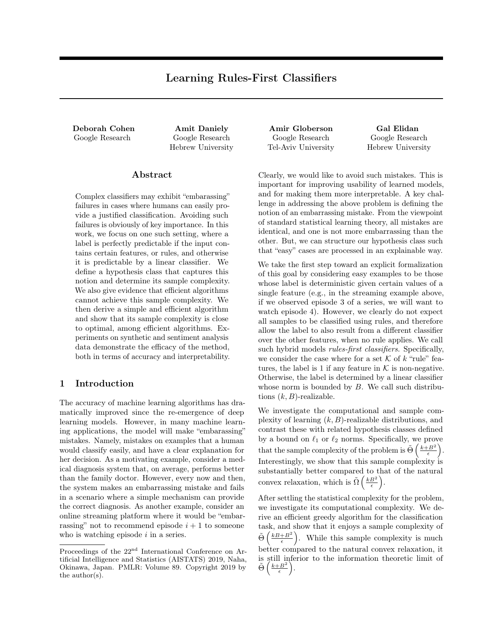# Learning Rules-First Classifiers

Deborah Cohen Amit Daniely Amir Globerson Gal Elidan Google Research Google Research

Hebrew University

### Abstract

Complex classifiers may exhibit "embarassing" failures in cases where humans can easily provide a justified classification. Avoiding such failures is obviously of key importance. In this work, we focus on one such setting, where a label is perfectly predictable if the input contains certain features, or rules, and otherwise it is predictable by a linear classifier. We define a hypothesis class that captures this notion and determine its sample complexity. We also give evidence that efficient algorithms cannot achieve this sample complexity. We then derive a simple and efficient algorithm and show that its sample complexity is close to optimal, among efficient algorithms. Experiments on synthetic and sentiment analysis data demonstrate the efficacy of the method, both in terms of accuracy and interpretability.

## 1 Introduction

The accuracy of machine learning algorithms has dramatically improved since the re-emergence of deep learning models. However, in many machine learning applications, the model will make "embarassing" mistakes. Namely, mistakes on examples that a human would classify easily, and have a clear explanation for her decision. As a motivating example, consider a medical diagnosis system that, on average, performs better than the family doctor. However, every now and then, the system makes an embarrassing mistake and fails in a scenario where a simple mechanism can provide the correct diagnosis. As another example, consider an online streaming platform where it would be "embarrassing" not to recommend episode  $i+1$  to someone who is watching episode  $i$  in a series.

Google Research Tel-Aviv University

Google Research Hebrew University

Clearly, we would like to avoid such mistakes. This is important for improving usability of learned models, and for making them more interpretable. A key challenge in addressing the above problem is defining the notion of an embarrassing mistake. From the viewpoint of standard statistical learning theory, all mistakes are identical, and one is not more embarrassing than the other. But, we can structure our hypothesis class such that "easy" cases are processed in an explainable way.

We take the first step toward an explicit formalization of this goal by considering easy examples to be those whose label is deterministic given certain values of a single feature (e.g., in the streaming example above, if we observed episode 3 of a series, we will want to watch episode 4). However, we clearly do not expect all samples to be classified using rules, and therefore allow the label to also result from a different classifier over the other features, when no rule applies. We call such hybrid models rules-first classifiers. Specifically, we consider the case where for a set  $K$  of k "rule" features, the label is 1 if any feature in  $K$  is non-negative. Otherwise, the label is determined by a linear classifier whose norm is bounded by B. We call such distributions  $(k, B)$ -realizable.

We investigate the computational and sample complexity of learning  $(k, B)$ -realizable distributions, and contrast these with related hypothesis classes defined by a bound on  $\ell_1$  or  $\ell_2$  norms. Specifically, we prove that the sample complexity of the problem is  $\tilde{\Theta}\left(\frac{k+B^2}{\epsilon}\right)$ . Interestingly, we show that this sample complexity is substantially better compared to that of the natural convex relaxation, which is  $\tilde{\Omega}\left(\frac{kB^2}{\epsilon}\right)$ .

After settling the statistical complexity for the problem, we investigate its computational complexity. We derive an efficient greedy algorithm for the classification task, and show that it enjoys a sample complexity of  $\tilde{\Theta}\left(\frac{kB+B^2}{\epsilon}\right)$ . While this sample complexity is much better compared to the natural convex relaxation, it is still inferior to the information theoretic limit of  $\tilde{\Theta}\left(\frac{k+B^2}{\epsilon}\right)$ .

Proceedings of the 22<sup>nd</sup> International Conference on Artificial Intelligence and Statistics (AISTATS) 2019, Naha, Okinawa, Japan. PMLR: Volume 89. Copyright 2019 by the author(s).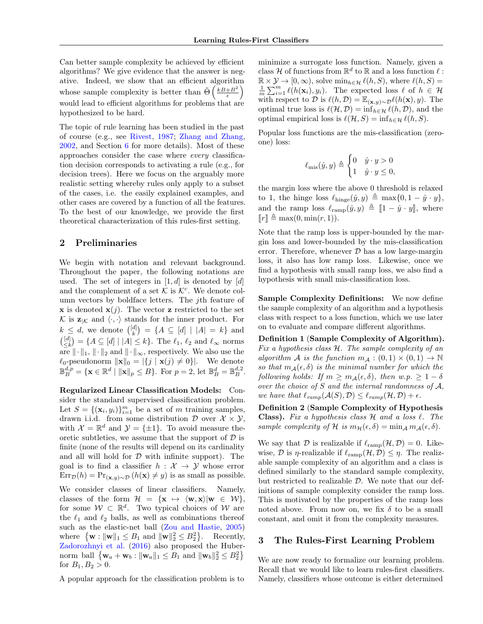Can better sample complexity be achieved by efficient algorithms? We give evidence that the answer is negative. Indeed, we show that an efficient algorithm whose sample complexity is better than  $\tilde{\Theta}\left(\frac{kB+B^2}{\epsilon}\right)$ would lead to efficient algorithms for problems that are hypothesized to be hard.

The topic of rule learning has been studied in the past of course (e.g., see [Rivest,](#page-8-0) [1987;](#page-8-0) [Zhang and Zhang,](#page-8-1) [2002,](#page-8-1) and Section [6](#page-5-0) for more details). Most of these approaches consider the case where every classification decision corresponds to activating a rule (e.g., for decision trees). Here we focus on the arguably more realistic setting whereby rules only apply to a subset of the cases, i.e. the easily explained examples, and other cases are covered by a function of all the features. To the best of our knowledge, we provide the first theoretical characterization of this rules-first setting.

# 2 Preliminaries

We begin with notation and relevant background. Throughout the paper, the following notations are used. The set of integers in  $[1, d]$  is denoted by  $[d]$ and the complement of a set  $K$  is  $K<sup>c</sup>$ . We denote column vectors by boldface letters. The jth feature of **x** is denoted  $\mathbf{x}(i)$ . The vector **z** restricted to the set K is  $\mathbf{z}_{\vert\mathcal{K}}$  and  $\langle \cdot, \cdot \rangle$  stands for the inner product. For  $k \leq d$ , we denote  $\binom{[d]}{k} = \{A \subseteq [d] \mid |A| = k\}$  and  $\binom{[d]}{\leq k} = \{A \subseteq [d] \mid |A| \leq k\}.$  The  $\ell_1, \ell_2$  and  $\ell_\infty$  norms are  $\|\cdot\|_1, \|\cdot\|_2$  and  $\|\cdot\|_{\infty}$ , respectively. We also use the  $\ell_0$ -pseudonorm  $\|\mathbf{x}\|_0 = |\{j \mid \mathbf{x}(j) \neq 0\}|.$  We denote  $\mathbb{B}_{B}^{d,p} = \{ \mathbf{x} \in \mathbb{R}^{d} \mid ||\mathbf{x}||_{p} \leq B \}.$  For  $p = 2$ , let  $\mathbb{B}_{B}^{d} = \mathbb{B}_{B}^{d,2}$ .

Regularized Linear Classification Models: Consider the standard supervised classification problem. Let  $S = \{(\mathbf{x}_i, y_i)\}_{i=1}^m$  be a set of m training samples, drawn i.i.d. from some distribution  $D$  over  $\mathcal{X} \times \mathcal{Y}$ , with  $\mathcal{X} = \mathbb{R}^d$  and  $\mathcal{Y} = {\pm 1}$ . To avoid measure theoretic subtleties, we assume that the support of  $D$  is finite (none of the results will depend on its cardinality and all will hold for  $\mathcal D$  with infinite support). The goal is to find a classifier  $h : \mathcal{X} \to \mathcal{Y}$  whose error  $\text{Err}_{\mathcal{D}}(h) = \text{Pr}_{(\mathbf{x},y) \sim \mathcal{D}}(h(\mathbf{x}) \neq y)$  is as small as possible.

We consider classes of linear classifiers. Namely, classes of the form  $\mathcal{H} = {\mathbf{x} \mapsto \langle \mathbf{w}, \mathbf{x} \rangle | \mathbf{w} \in \mathcal{W}}$ , for some  $W \subset \mathbb{R}^d$ . Two typical choices of W are the  $\ell_1$  and  $\ell_2$  balls, as well as combinations thereof such as the elastic-net ball [\(Zou and Hastie,](#page-8-2) [2005\)](#page-8-2) where  $\{\mathbf w : \|\mathbf w\|_1 \leq B_1 \text{ and } \|\mathbf w\|_2^2 \leq B_2^2\}$ . Recently, [Zadorozhnyi et al.](#page-8-3) [\(2016\)](#page-8-3) also proposed the Hubernorm ball  $\{ \mathbf{w}_a + \mathbf{w}_b : ||\mathbf{w}_a||_1 \leq B_1 \text{ and } ||\mathbf{w}_b||_2^2 \leq B_2^2 \}$ for  $B_1, B_2 > 0$ .

A popular approach for the classification problem is to

minimize a surrogate loss function. Namely, given a class  $\mathcal H$  of functions from  $\mathbb R^d$  to  $\mathbb R$  and a loss function  $\ell$ :  $\mathbb{R} \times \mathcal{Y} \to [0, \infty)$ , solve  $\min_{h \in \mathcal{H}} \ell(h, S)$ , where  $\ell(h, S) =$  $\frac{1}{m}\sum_{i=1}^m \ell(h(\mathbf{x}_i), y_i)$ . The expected loss  $\ell$  of  $h \in \mathcal{H}$ with respect to D is  $\ell(h, D) = \mathbb{E}_{(\mathbf{x}, y) \sim D} \ell(h(\mathbf{x}), y)$ . The optimal true loss is  $\ell(\mathcal{H}, \mathcal{D}) = \inf_{h \in \mathcal{H}} \ell(h, \mathcal{D})$ , and the optimal empirical loss is  $\ell(\mathcal{H}, S) = \inf_{h \in \mathcal{H}} \ell(h, S)$ .

Popular loss functions are the mis-classification (zeroone) loss:

$$
\ell_{\text{mis}}(\hat{y}, y) \triangleq \begin{cases} 0 & \hat{y} \cdot y > 0 \\ 1 & \hat{y} \cdot y \le 0, \end{cases}
$$

the margin loss where the above 0 threshold is relaxed to 1, the hinge loss  $\ell_{\text{hinge}}(\hat{y}, y) \triangleq \max\{0, 1 - \hat{y} \cdot y\},\$ and the ramp loss  $\ell_{\text{ramp}}(\hat{y}, y) \triangleq [1 - \hat{y} \cdot y],$  where  $\llbracket r \rrbracket \triangleq \max(0, \min(r, 1)).$ 

Note that the ramp loss is upper-bounded by the margin loss and lower-bounded by the mis-classification error. Therefore, whenever  $D$  has a low large-margin loss, it also has low ramp loss. Likewise, once we find a hypothesis with small ramp loss, we also find a hypothesis with small mis-classification loss.

Sample Complexity Definitions: We now define the sample complexity of an algorithm and a hypothesis class with respect to a loss function, which we use later on to evaluate and compare different algorithms.

Definition 1 (Sample Complexity of Algorithm). Fix a hypothesis class  $H$ . The sample complexity of an algorithm A is the function  $m_A : (0,1) \times (0,1) \rightarrow \mathbb{N}$ so that  $m_A(\epsilon, \delta)$  is the minimal number for which the following holds: If  $m \geq m_{\mathcal{A}}(\epsilon, \delta)$ , then  $w.p. \geq 1-\delta$ over the choice of  $S$  and the internal randomness of  $A$ , we have that  $\ell_{ramp}(\mathcal{A}(S), \mathcal{D}) \leq \ell_{ramp}(\mathcal{H}, \mathcal{D}) + \epsilon$ .

Definition 2 (Sample Complexity of Hypothesis Class). Fix a hypothesis class  $H$  and a loss  $\ell$ . The sample complexity of H is  $m_{\mathcal{H}}(\epsilon, \delta) = \min_{\mathcal{A}} m_{\mathcal{A}}(\epsilon, \delta)$ .

We say that  $D$  is realizable if  $\ell_{\text{ramp}}(\mathcal{H}, \mathcal{D}) = 0$ . Likewise, D is  $\eta$ -realizable if  $\ell_{\text{ramp}}(\mathcal{H}, \mathcal{D}) \leq \eta$ . The realizable sample complexity of an algorithm and a class is defined similarly to the standard sample complexity, but restricted to realizable  $D$ . We note that our definitions of sample complexity consider the ramp loss. This is motivated by the properties of the ramp loss noted above. From now on, we fix  $\delta$  to be a small constant, and omit it from the complexity measures.

### 3 The Rules-First Learning Problem

We are now ready to formalize our learning problem. Recall that we would like to learn rules-first classifiers. Namely, classifiers whose outcome is either determined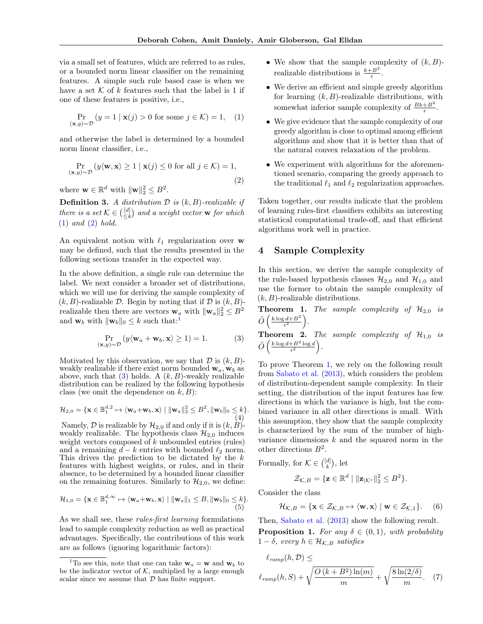via a small set of features, which are referred to as rules, or a bounded norm linear classifier on the remaining features. A simple such rule based case is when we have a set  $K$  of  $k$  features such that the label is 1 if one of these features is positive, i.e.,

<span id="page-2-0"></span>
$$
\Pr_{(\mathbf{x}, y) \sim \mathcal{D}} (y = 1 \mid \mathbf{x}(j) > 0 \text{ for some } j \in \mathcal{K}) = 1, \quad (1)
$$

and otherwise the label is determined by a bounded norm linear classifier, i.e.,

<span id="page-2-1"></span>
$$
\Pr_{(\mathbf{x}, y) \sim \mathcal{D}} (y \langle \mathbf{w}, \mathbf{x} \rangle \ge 1 \mid \mathbf{x}(j) \le 0 \text{ for all } j \in \mathcal{K}) = 1,
$$
\n(2)

where  $\mathbf{w} \in \mathbb{R}^d$  with  $\|\mathbf{w}\|_2^2 \leq B^2$ .

**Definition 3.** A distribution  $D$  is  $(k, B)$ -realizable if there is a set  $\mathcal{K} \in \binom{[d]}{\leq k}$  and a weight vector **w** for which [\(1\)](#page-2-0) and [\(2\)](#page-2-1) hold.

An equivalent notion with  $\ell_1$  regularization over w may be defined, such that the results presented in the following sections transfer in the expected way.

In the above definition, a single rule can determine the label. We next consider a broader set of distributions, which we will use for deriving the sample complexity of  $(k, B)$ -realizable D. Begin by noting that if D is  $(k, B)$ realizable then there are vectors  $\mathbf{w}_a$  with  $\|\mathbf{w}_a\|_2^2 \leq B^2$ and  $\mathbf{w}_b$  with  $\|\mathbf{w}_b\|_0 \leq k$  such that:<sup>[1](#page-2-2)</sup>

<span id="page-2-3"></span>
$$
\Pr_{(\mathbf{x}, y) \sim \mathcal{D}} \left( y \langle \mathbf{w}_a + \mathbf{w}_b, \mathbf{x} \rangle \ge 1 \right) = 1.
$$
 (3)

Motivated by this observation, we say that  $\mathcal D$  is  $(k, B)$ weakly realizable if there exist norm bounded  $\mathbf{w}_a, \mathbf{w}_b$  as above, such that  $(3)$  holds. A  $(k, B)$ -weakly realizable distribution can be realized by the following hypothesis class (we omit the dependence on  $k, B$ ):

<span id="page-2-5"></span>
$$
\mathcal{H}_{2,0} = \{ \mathbf{x} \in \mathbb{B}_1^{d,2} \mapsto \langle \mathbf{w}_a + \mathbf{w}_b, \mathbf{x} \rangle \mid ||\mathbf{w}_a||_2^2 \leq B^2, ||\mathbf{w}_b||_0 \leq k \}.
$$
\n
$$
(4)
$$

Namely,  $\mathcal D$  is realizable by  $\mathcal H_{2,0}$  if and only if it is  $(k, B)$ weakly realizable. The hypothesis class  $\mathcal{H}_{2,0}$  induces weight vectors composed of  $k$  unbounded entries (rules) and a remaining  $d - k$  entries with bounded  $\ell_2$  norm. This drives the prediction to be dictated by the  $k$ features with highest weights, or rules, and in their absence, to be determined by a bounded linear classifier on the remaining features. Similarly to  $\mathcal{H}_{2,0}$ , we define:

<span id="page-2-6"></span>
$$
\mathcal{H}_{1,0} = \{ \mathbf{x} \in \mathbb{B}_1^{d,\infty} \mapsto \langle \mathbf{w}_a + \mathbf{w}_b, \mathbf{x} \rangle \mid ||\mathbf{w}_a||_1 \leq B, ||\mathbf{w}_b||_0 \leq k \}.
$$
\n(5)

As we shall see, these *rules-first learning* formulations lead to sample complexity reduction as well as practical advantages. Specifically, the contributions of this work are as follows (ignoring logarithmic factors):

- We show that the sample complexity of  $(k, B)$ realizable distributions is  $\frac{k+B^2}{\epsilon}$ .
- We derive an efficient and simple greedy algorithm for learning  $(k, B)$ -realizable distributions, with somewhat inferior sample complexity of  $\frac{Bk+B^2}{\epsilon}$ .
- We give evidence that the sample complexity of our greedy algorithm is close to optimal among efficient algorithms and show that it is better than that of the natural convex relaxation of the problem.
- We experiment with algorithms for the aforementioned scenario, comparing the greedy approach to the traditional  $\ell_1$  and  $\ell_2$  regularization approaches.

Taken together, our results indicate that the problem of learning rules-first classifiers exhibits an interesting statistical computational trade-off, and that efficient algorithms work well in practice.

### 4 Sample Complexity

In this section, we derive the sample complexity of the rule-based hypothesis classes  $\mathcal{H}_{2,0}$  and  $\mathcal{H}_{1,0}$  and use the former to obtain the sample complexity of  $(k, B)$ -realizable distributions.

<span id="page-2-4"></span>**Theorem 1.** The sample complexity of  $\mathcal{H}_{2,0}$  is  $\tilde{O}\left(\frac{k\log d+B^2}{\epsilon^2}\right)$ .

<span id="page-2-8"></span>**Theorem 2.** The sample complexity of  $\mathcal{H}_{1,0}$  is  $\tilde{O}\left(\frac{k\log d + B^2\log d}{\epsilon^2}\right)$ .

To prove Theorem [1,](#page-2-4) we rely on the following result from [Sabato et al.](#page-8-4) [\(2013\)](#page-8-4), which considers the problem of distribution-dependent sample complexity. In their setting, the distribution of the input features has few directions in which the variance is high, but the combined variance in all other directions is small. With this assumption, they show that the sample complexity is characterized by the sum of the number of highvariance dimensions  $k$  and the squared norm in the other directions  $B^2$ .

Formally, for  $\mathcal{K} \in \binom{[d]}{k}$ , let

$$
\mathcal{Z}_{\mathcal{K},B} = \{ \mathbf{z} \in \mathbb{R}^d \mid \|\mathbf{z}_{|\mathcal{K}^c}\|_2^2 \leq B^2 \}.
$$

Consider the class

$$
\mathcal{H}_{\mathcal{K},B} = \{ \mathbf{x} \in \mathcal{Z}_{\mathcal{K},B} \mapsto \langle \mathbf{w}, \mathbf{x} \rangle \mid \mathbf{w} \in \mathcal{Z}_{\mathcal{K},1} \}. \tag{6}
$$

<span id="page-2-7"></span>Then, [Sabato et al.](#page-8-4) [\(2013\)](#page-8-4) show the following result. **Proposition 1.** For any  $\delta \in (0,1)$ , with probability  $1 - \delta$ , every  $h \in \mathcal{H}_{\mathcal{K},B}$  satisfies

$$
\ell_{ramp}(h, \mathcal{D}) \le
$$
  

$$
\ell_{ramp}(h, S) + \sqrt{\frac{O(k + B^2) \ln(m)}{m}} + \sqrt{\frac{8 \ln(2/\delta)}{m}}.
$$
 (7)

<span id="page-2-2"></span><sup>&</sup>lt;sup>1</sup>To see this, note that one can take  $w_a = w$  and  $w_b$  to be the indicator vector of  $K$ , multiplied by a large enough scalar since we assume that  $D$  has finite support.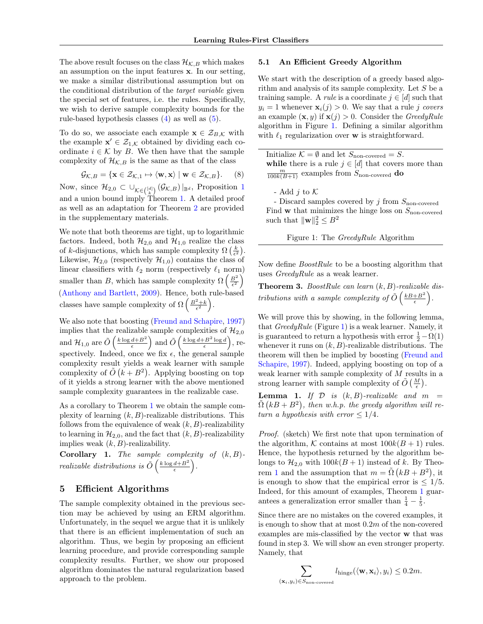The above result focuses on the class  $\mathcal{H}_{K,B}$  which makes an assumption on the input features x. In our setting, we make a similar distributional assumption but on the conditional distribution of the target variable given the special set of features, i.e. the rules. Specifically, we wish to derive sample complexity bounds for the rule-based hypothesis classes [\(4\)](#page-2-5) as well as [\(5\)](#page-2-6).

To do so, we associate each example  $\mathbf{x} \in \mathcal{Z}_{B,K}$  with the example  $\mathbf{x}' \in \mathcal{Z}_{1,\mathcal{K}}$  obtained by dividing each coordinate  $i \in \mathcal{K}$  by B. We then have that the sample complexity of  $\mathcal{H}_{\mathcal{K},B}$  is the same as that of the class

$$
\mathcal{G}_{\mathcal{K},B} = \{ \mathbf{x} \in \mathcal{Z}_{\mathcal{K},1} \mapsto \langle \mathbf{w}, \mathbf{x} \rangle \mid \mathbf{w} \in \mathcal{Z}_{\mathcal{K},B} \}.
$$
 (8)

Now, since  $\mathcal{H}_{2,0} \subset \cup_{\mathcal{K} \in \binom{[d]}{k}} (\mathcal{G}_{\mathcal{K},B})|_{\mathbb{B}^d}$ , Proposition [1](#page-2-7) and a union bound imply Theorem [1.](#page-2-4) A detailed proof as well as an adaptation for Theorem [2](#page-2-8) are provided in the supplementary materials.

We note that both theorems are tight, up to logarithmic factors. Indeed, both  $\mathcal{H}_{2,0}$  and  $\mathcal{H}_{1,0}$  realize the class of k-disjunctions, which has sample complexity  $\Omega\left(\frac{k}{\epsilon^2}\right)$ . Likewise,  $\mathcal{H}_{2,0}$  (respectively  $\mathcal{H}_{1,0}$ ) contains the class of linear classifiers with  $\ell_2$  norm (respectively  $\ell_1$  norm) smaller than B, which has sample complexity  $\Omega\left(\frac{B^2}{\epsilon^2}\right)$ [\(Anthony and Bartlett,](#page-8-5) [2009\)](#page-8-5). Hence, both rule-based classes have sample complexity of  $\Omega\left(\frac{B^2+k}{\epsilon^2}\right)$ .

We also note that boosting [\(Freund and Schapire,](#page-8-6) [1997\)](#page-8-6) implies that the realizable sample complexities of  $\mathcal{H}_{2,0}$ and  $\mathcal{H}_{1,0}$  are  $\tilde{O}\left(\frac{k \log d + B^2}{\epsilon}\right)$  and  $\tilde{O}\left(\frac{k \log d + B^2 \log d}{\epsilon}\right)$ , respectively. Indeed, once we fix  $\epsilon$ , the general sample complexity result yields a weak learner with sample complexity of  $\tilde{O}(k + B^2)$ . Applying boosting on top of it yields a strong learner with the above mentioned sample complexity guarantees in the realizable case.

As a corollary to Theorem [1](#page-2-4) we obtain the sample complexity of learning  $(k, B)$ -realizable distributions. This follows from the equivalence of weak  $(k, B)$ -realizability to learning in  $\mathcal{H}_{2,0}$ , and the fact that  $(k, B)$ -realizability implies weak  $(k, B)$ -realizability.

Corollary 1. The sample complexity of  $(k, B)$ realizable distributions is  $\tilde{O}\left(\frac{k \log d + B^2}{\epsilon}\right)$ .

# <span id="page-3-1"></span>5 Efficient Algorithms

The sample complexity obtained in the previous section may be achieved by using an ERM algorithm. Unfortunately, in the sequel we argue that it is unlikely that there is an efficient implementation of such an algorithm. Thus, we begin by proposing an efficient learning procedure, and provide corresponding sample complexity results. Further, we show our proposed algorithm dominates the natural regularization based approach to the problem.

#### 5.1 An Efficient Greedy Algorithm

We start with the description of a greedy based algorithm and analysis of its sample complexity. Let S be a training sample. A *rule* is a coordinate  $j \in [d]$  such that  $y_i = 1$  whenever  $\mathbf{x}_i(j) > 0$ . We say that a rule j covers an example  $(\mathbf{x}, y)$  if  $\mathbf{x}(j) > 0$ . Consider the *GreedyRule* algorithm in Figure [1.](#page-3-0) Defining a similar algorithm with  $\ell_1$  regularization over **w** is straightforward.

Initialize  $K = \emptyset$  and let  $S_{\text{non-covered}} = S$ . while there is a rule  $j \in [d]$  that covers more than  $\frac{m}{100k(B+1)}$  examples from  $S_{\text{non-covered}}$  do

- Add  $j$  to  $K$ 

- Discard samples covered by  $j$  from  $S_{\text{non-covered}}$ Find  $w$  that minimizes the hinge loss on  $S_{\text{non-covered}}$ such that  $\|\mathbf{w}\|_2^2 \leq B^2$ 

<span id="page-3-0"></span>Figure 1: The GreedyRule Algorithm

Now define BoostRule to be a boosting algorithm that uses GreedyRule as a weak learner.

**Theorem 3.** BoostRule can learn  $(k, B)$ -realizable distributions with a sample complexity of  $\tilde{O}\left(\frac{kB+B^2}{\epsilon}\right)$ .

We will prove this by showing, in the following lemma, that  $GreedyRule$  (Figure [1\)](#page-3-0) is a weak learner. Namely, it is guaranteed to return a hypothesis with error  $\frac{1}{2} - \Omega(1)$ whenever it runs on  $(k, B)$ -realizable distributions. The theorem will then be implied by boosting [\(Freund and](#page-8-6) [Schapire,](#page-8-6) [1997\)](#page-8-6). Indeed, applying boosting on top of a weak learner with sample complexity of M results in a strong learner with sample complexity of  $\tilde{O}\left(\frac{M}{\epsilon}\right)$ .

**Lemma 1.** If  $D$  is  $(k, B)$ -realizable and  $m =$  $\tilde{\Omega}(kB + B^2)$ , then w.h.p. the greedy algorithm will return a hypothesis with error  $\leq 1/4$ .

Proof. (sketch) We first note that upon termination of the algorithm, K contains at most  $100k(B+1)$  rules. Hence, the hypothesis returned by the algorithm belongs to  $\mathcal{H}_{2,0}$  with  $100k(B+1)$  instead of k. By Theo-rem [1](#page-2-4) and the assumption that  $m = \tilde{\Omega} (kB + B^2)$ , it is enough to show that the empirical error is  $\leq 1/5$ . Indeed, for this amount of examples, Theorem [1](#page-2-4) guarantees a generalization error smaller than  $\frac{1}{4} - \frac{1}{5}$ .

Since there are no mistakes on the covered examples, it is enough to show that at most 0.2m of the non-covered examples are mis-classified by the vector w that was found in step 3. We will show an even stronger property. Namely, that

$$
\sum_{(\mathbf{x}_i, y_i) \in S_{\text{non-covered}}} l_{\text{hinge}}(\langle \mathbf{w}, \mathbf{x}_i \rangle, y_i) \le 0.2m.
$$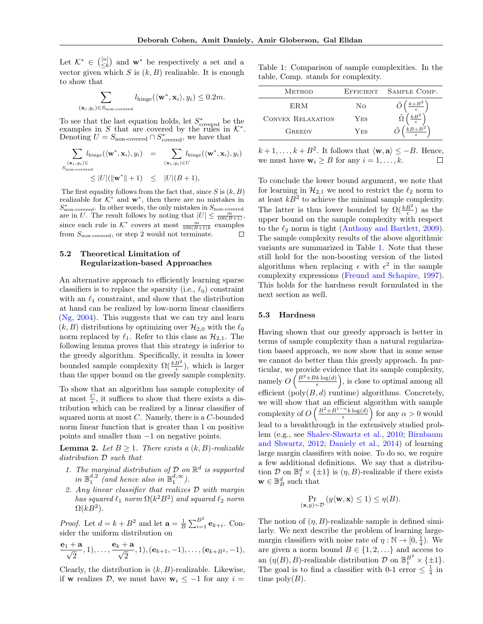Let  $\mathcal{K}^* \in \binom{[n]}{\leq k}$  and  $\mathbf{w}^*$  be respectively a set and a vector given which  $S$  is  $(k, B)$  realizable. It is enough to show that

$$
\sum_{(\mathbf{x}_i, y_i) \in S_{\text{non-covered}}} l_{\text{hinge}}(\langle \mathbf{w}^*, \mathbf{x}_i \rangle, y_i) \le 0.2m.
$$

To see that the last equation holds, let  $S^*_{\text{covered}}$  be the examples in S that are covered by the rules in  $\mathcal{K}^*$ . Denoting  $U = S_{\text{non-covered}} \cap S_{\text{covered}}^*$ , we have that

$$
\sum_{\substack{(\mathbf{x}_i, y_i) \in \\ S_{\text{non-covered}}}} l_{\text{hinge}}(\langle \mathbf{w}^*, \mathbf{x}_i \rangle, y_i) = \sum_{(\mathbf{x}_i, y_i) \in U} l_{\text{hinge}}(\langle \mathbf{w}^*, \mathbf{x}_i \rangle, y_i)
$$

The first equality follows from the fact that, since  $S$  is  $(k, B)$ realizable for  $\mathcal{K}^*$  and  $\mathbf{w}^*$ , then there are no mistakes in  $S_{\text{non-covered}}^*$ . In other words, the only mistakes in  $S_{\text{non-covered}}$ are in U. The result follows by noting that  $|U| \leq \frac{m}{100(B+1)}$ , since each rule in  $\mathcal{K}^*$  covers at most  $\frac{m}{100(B+1)k}$  examples from  $S_{\text{non-covered}}$ , or step 2 would not terminate.

### 5.2 Theoretical Limitation of Regularization-based Approaches

An alternative approach to efficiently learning sparse classifiers is to replace the sparsity (i.e.,  $\ell_0$ ) constraint with an  $\ell_1$  constraint, and show that the distribution at hand can be realized by low-norm linear classifiers [\(Ng,](#page-8-7) [2004\)](#page-8-7). This suggests that we can try and learn  $(k, B)$  distributions by optimizing over  $\mathcal{H}_{2,0}$  with the  $\ell_0$ norm replaced by  $\ell_1$ . Refer to this class as  $\mathcal{H}_{2,1}$ . The following lemma proves that this strategy is inferior to the greedy algorithm. Specifically, it results in lower bounded sample complexity  $\Omega(\frac{k^2}{\epsilon})$ , which is larger than the upper bound on the greedy sample complexity.

To show that an algorithm has sample complexity of at most  $\frac{C}{\epsilon}$ , it suffices to show that there exists a distribution which can be realized by a linear classifier of squared norm at most  $C$ . Namely, there is a  $C$ -bounded norm linear function that is greater than 1 on positive points and smaller than −1 on negative points.

**Lemma 2.** Let  $B \geq 1$ . There exists a  $(k, B)$ -realizable distribution D such that

- 1. The marginal distribution of  $D$  on  $\mathbb{R}^d$  is supported in  $\mathbb{B}_1^{d,2}$  (and hence also in  $\mathbb{B}_1^{d,\infty}$ ).
- 2. Any linear classifier that realizes D with margin has squared  $\ell_1$  norm  $\Omega(k^2B^2)$  and squared  $\ell_2$  norm  $\Omega(kB^2)$ .

*Proof.* Let  $d = k + B^2$  and let  $\mathbf{a} = \frac{1}{B} \sum_{i=1}^{B^2} \mathbf{e}_{k+i}$ . Consider the uniform distribution on

$$
\frac{\mathbf{e}_1+\mathbf{a}}{\sqrt{2}}, 1), \ldots, \frac{\mathbf{e}_k+\mathbf{a}}{\sqrt{2}}, 1), (\mathbf{e}_{k+1}, -1), \ldots, (\mathbf{e}_{k+B^2}, -1),
$$

Clearly, the distribution is  $(k, B)$ -realizable. Likewise, if w realizes D, we must have  $w_i \le -1$  for any  $i =$ 

<span id="page-4-0"></span>Table 1: Comparison of sample complexities. In the table, Comp. stands for complexity.

| Метнор                   |     | EFFICIENT SAMPLE COMP. |
|--------------------------|-----|------------------------|
| ERM                      | No  |                        |
| <b>CONVEX RELAXATION</b> | Yes |                        |
| <b>GREEDY</b>            | Yes |                        |

 $k+1,\ldots,k+B^2$ . It follows that  $\langle \mathbf{w}, \mathbf{a} \rangle \leq -B$ . Hence, we must have  $\mathbf{w}_i \geq B$  for any  $i = 1, \ldots, k$ .  $\Box$ 

To conclude the lower bound argument, we note that for learning in  $\mathcal{H}_{2,1}$  we need to restrict the  $\ell_2$  norm to at least  $kB^2$  to achieve the minimal sample complexity. The latter is thus lower bounded by  $\Omega(\frac{kB^2}{\epsilon})$  as the upper bound on the sample complexity with respect to the  $\ell_2$  norm is tight [\(Anthony and Bartlett,](#page-8-5) [2009\)](#page-8-5). The sample complexity results of the above algorithmic variants are summarized in Table [1.](#page-4-0) Note that these still hold for the non-boosting version of the listed algorithms when replacing  $\epsilon$  with  $\epsilon^2$  in the sample complexity expressions [\(Freund and Schapire,](#page-8-6) [1997\)](#page-8-6). This holds for the hardness result formulated in the next section as well.

#### 5.3 Hardness

Having shown that our greedy approach is better in terms of sample complexity than a natural regularization based approach, we now show that in some sense we cannot do better than this greedy approach. In particular, we provide evidence that its sample complexity, namely  $O\left(\frac{B^2+Bk\log(d)}{\epsilon}\right)$  $\frac{k \log(d)}{\epsilon}$ , is close to optimal among all efficient  $(poly(B, d)$  runtime) algorithms. Concretely, we will show that an efficient algorithm with sample complexity of  $O\left(\frac{B^2 + B^{1-\alpha}k\log(d)}{6}\right)$  $\left(\frac{\alpha_k \log(d)}{\epsilon}\right)$  for any  $\alpha > 0$  would lead to a breakthrough in the extensively studied problem (e.g., see [Shalev-Shwartz et al.,](#page-8-8) [2010;](#page-8-8) [Birnbaum](#page-8-9) [and Shwartz,](#page-8-9) [2012;](#page-8-9) [Daniely et al.,](#page-8-10) [2014\)](#page-8-10) of learning large margin classifiers with noise. To do so, we require a few additional definitions. We say that a distribution  $\mathcal{D}$  on  $\mathbb{B}^d_1 \times {\{\pm 1\}}$  is  $(\eta, B)$ -realizable if there exists  $\mathbf{w} \in \mathbb{B}_{B}^{d}$  such that

$$
\Pr_{(\mathbf{x},y)\sim\mathcal{D}}(y\langle \mathbf{w}, \mathbf{x}\rangle \le 1) \le \eta(B).
$$

The notion of  $(\eta, B)$ -realizable sample is defined similarly. We next describe the problem of learning largemargin classifiers with noise rate of  $\eta : \mathbb{N} \to [0, \frac{1}{4})$ . We are given a norm bound  $B \in \{1, 2, ...\}$  and access to an  $(\eta(B), B)$ -realizable distribution  $\mathcal{D}$  on  $\mathbb{B}_1^{B^2} \times {\{\pm 1\}}$ . The goal is to find a classifier with 0-1 error  $\leq \frac{1}{4}$  in time  $\text{poly}(B)$ .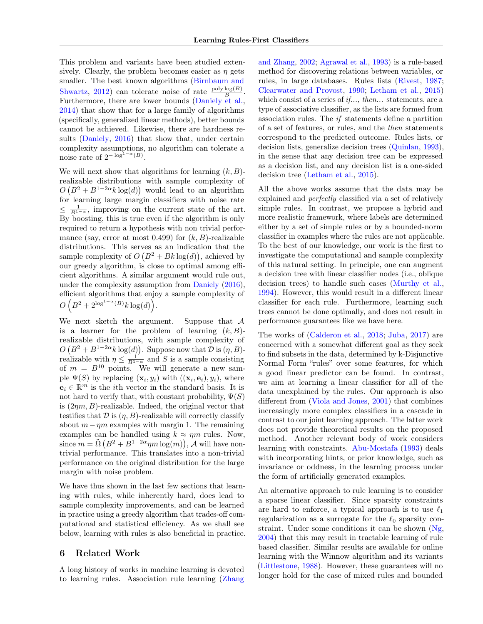This problem and variants have been studied extensively. Clearly, the problem becomes easier as  $\eta$  gets smaller. The best known algorithms [\(Birnbaum and](#page-8-9) [Shwartz,](#page-8-9) [2012\)](#page-8-9) can tolerate noise of rate  $\frac{\text{poly}\log(B)}{B}$ . Furthermore, there are lower bounds [\(Daniely et al.,](#page-8-10) [2014\)](#page-8-10) that show that for a large family of algorithms (specifically, generalized linear methods), better bounds cannot be achieved. Likewise, there are hardness results [\(Daniely,](#page-8-11) [2016\)](#page-8-11) that show that, under certain complexity assumptions, no algorithm can tolerate a noise rate of  $2^{-\log^{1-\alpha}(B)}$ .

We will next show that algorithms for learning  $(k, B)$ realizable distributions with sample complexity of  $O(B^2 + B^{1-2\alpha}k \log(d))$  would lead to an algorithm for learning large margin classifiers with noise rate  $\leq \frac{1}{B^{1-\alpha}}$ , improving on the current state of the art. By boosting, this is true even if the algorithm is only required to return a hypothesis with non trivial performance (say, error at most 0.499) for  $(k, B)$ -realizable distributions. This serves as an indication that the sample complexity of  $O(B^2 + Bk \log(d))$ , achieved by our greedy algorithm, is close to optimal among efficient algorithms. A similar argument would rule out, under the complexity assumption from [Daniely](#page-8-11) [\(2016\)](#page-8-11), efficient algorithms that enjoy a sample complexity of  $O\left(B^2 + 2^{\log^{1-\alpha}(B)}k \log(d)\right).$ 

We next sketch the argument. Suppose that  $A$ is a learner for the problem of learning  $(k, B)$ realizable distributions, with sample complexity of  $O(B^2 + B^{1-2\alpha}k \log(d))$ . Suppose now that  $\mathcal D$  is  $(\eta, B)$ realizable with  $\eta \leq \frac{1}{B^{1-\alpha}}$  and S is a sample consisting of  $m = B^{10}$  points. We will generate a new sample  $\Psi(S)$  by replacing  $(\mathbf{x}_i, y_i)$  with  $((\mathbf{x}_i, \mathbf{e}_i), y_i)$ , where  $e_i \in \mathbb{R}^m$  is the *i*th vector in the standard basis. It is not hard to verify that, with constant probability,  $\Psi(S)$ is  $(2\eta m, B)$ -realizable. Indeed, the original vector that testifies that  $\mathcal D$  is  $(\eta, B)$ -realizable will correctly classify about  $m - \eta m$  examples with margin 1. The remaining examples can be handled using  $k \approx \eta m$  rules. Now, since  $m = \tilde{\Omega} (B^2 + B^{1-2\alpha} \eta m \log(m)), A$  will have nontrivial performance. This translates into a non-trivial performance on the original distribution for the large margin with noise problem.

We have thus shown in the last few sections that learning with rules, while inherently hard, does lead to sample complexity improvements, and can be learned in practice using a greedy algorithm that trades-off computational and statistical efficiency. As we shall see below, learning with rules is also beneficial in practice.

### <span id="page-5-0"></span>6 Related Work

A long history of works in machine learning is devoted to learning rules. Association rule learning [\(Zhang](#page-8-1)

[and Zhang,](#page-8-1) [2002;](#page-8-1) [Agrawal et al.,](#page-8-12) [1993\)](#page-8-12) is a rule-based method for discovering relations between variables, or rules, in large databases. Rules lists [\(Rivest,](#page-8-0) [1987;](#page-8-0) [Clearwater and Provost,](#page-8-13) [1990;](#page-8-13) [Letham et al.,](#page-8-14) [2015\)](#page-8-14) which consist of a series of *if...*, *then...* statements, are a type of associative classifier, as the lists are formed from association rules. The if statements define a partition of a set of features, or rules, and the then statements correspond to the predicted outcome. Rules lists, or decision lists, generalize decision trees [\(Quinlan,](#page-8-15) [1993\)](#page-8-15), in the sense that any decision tree can be expressed as a decision list, and any decision list is a one-sided decision tree [\(Letham et al.,](#page-8-14) [2015\)](#page-8-14).

All the above works assume that the data may be explained and perfectly classified via a set of relatively simple rules. In contrast, we propose a hybrid and more realistic framework, where labels are determined either by a set of simple rules or by a bounded-norm classifier in examples where the rules are not applicable. To the best of our knowledge, our work is the first to investigate the computational and sample complexity of this natural setting. In principle, one can augment a decision tree with linear classifier nodes (i.e., oblique decision trees) to handle such cases [\(Murthy et al.,](#page-8-16) [1994\)](#page-8-16). However, this would result in a different linear classifier for each rule. Furthermore, learning such trees cannot be done optimally, and does not result in performance guarantees like we have here.

The works of [\(Calderon et al.,](#page-8-17) [2018;](#page-8-17) [Juba,](#page-8-18) [2017\)](#page-8-18) are concerned with a somewhat different goal as they seek to find subsets in the data, determined by k-Disjunctive Normal Form "rules" over some features, for which a good linear predictor can be found. In contrast, we aim at learning a linear classifier for all of the data unexplained by the rules. Our approach is also different from [\(Viola and Jones,](#page-8-19) [2001\)](#page-8-19) that combines increasingly more complex classifiers in a cascade in contrast to our joint learning approach. The latter work does not provide theoretical results on the proposed method. Another relevant body of work considers learning with constraints. [Abu-Mostafa](#page-8-20) [\(1993\)](#page-8-20) deals with incorporating hints, or prior knowledge, such as invariance or oddness, in the learning process under the form of artificially generated examples.

An alternative approach to rule learning is to consider a sparse linear classifier. Since sparsity constraints are hard to enforce, a typical approach is to use  $\ell_1$ regularization as a surrogate for the  $\ell_0$  sparsity constraint. Under some conditions it can be shown [\(Ng,](#page-8-7) [2004\)](#page-8-7) that this may result in tractable learning of rule based classifier. Similar results are available for online learning with the Winnow algorithm and its variants [\(Littlestone,](#page-8-21) [1988\)](#page-8-21). However, these guarantees will no longer hold for the case of mixed rules and bounded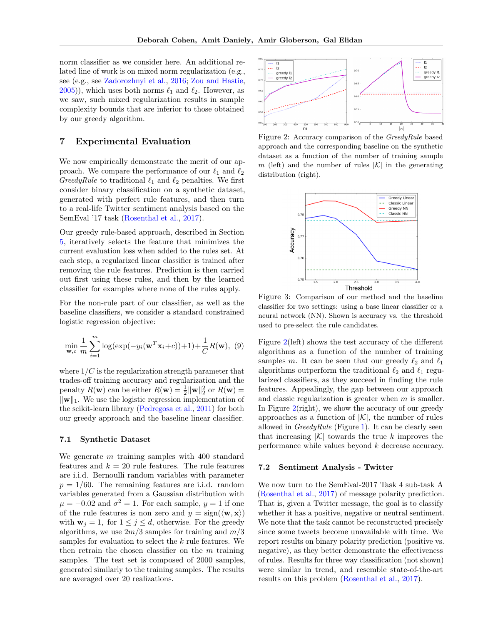norm classifier as we consider here. An additional related line of work is on mixed norm regularization (e.g., see (e.g., see [Zadorozhnyi et al.,](#page-8-3) [2016;](#page-8-3) [Zou and Hastie,](#page-8-2)  $(2005)$  $(2005)$ , which uses both norms  $\ell_1$  and  $\ell_2$ . However, as we saw, such mixed regularization results in sample complexity bounds that are inferior to those obtained by our greedy algorithm.

#### 7 Experimental Evaluation

We now empirically demonstrate the merit of our approach. We compare the performance of our  $\ell_1$  and  $\ell_2$ GreedyRule to traditional  $\ell_1$  and  $\ell_2$  penalties. We first consider binary classification on a synthetic dataset, generated with perfect rule features, and then turn to a real-life Twitter sentiment analysis based on the SemEval '17 task [\(Rosenthal et al.,](#page-8-22) [2017\)](#page-8-22).

Our greedy rule-based approach, described in Section [5,](#page-3-1) iteratively selects the feature that minimizes the current evaluation loss when added to the rules set. At each step, a regularized linear classifier is trained after removing the rule features. Prediction is then carried out first using these rules, and then by the learned classifier for examples where none of the rules apply.

For the non-rule part of our classifier, as well as the baseline classifiers, we consider a standard constrained logistic regression objective:

$$
\min_{\mathbf{w},c} \frac{1}{m} \sum_{i=1}^{m} \log(\exp(-y_i(\mathbf{w}^T \mathbf{x}_i + c)) + 1) + \frac{1}{C} R(\mathbf{w}), \tag{9}
$$

where  $1/C$  is the regularization strength parameter that trades-off training accuracy and regularization and the penalty  $R(\mathbf{w})$  can be either  $R(\mathbf{w}) = \frac{1}{2} ||\mathbf{w}||_2^2$  or  $R(\mathbf{w}) =$  $\|\mathbf{w}\|_1$ . We use the logistic regression implementation of the scikit-learn library [\(Pedregosa et al.,](#page-8-23) [2011\)](#page-8-23) for both our greedy approach and the baseline linear classifier.

#### 7.1 Synthetic Dataset

We generate m training samples with 400 standard features and  $k = 20$  rule features. The rule features are i.i.d. Bernoulli random variables with parameter  $p = 1/60$ . The remaining features are i.i.d. random variables generated from a Gaussian distribution with  $\mu = -0.02$  and  $\sigma^2 = 1$ . For each sample,  $y = 1$  if one of the rule features is non zero and  $y = \text{sign}(\langle \mathbf{w}, \mathbf{x} \rangle)$ with  $\mathbf{w}_j = 1$ , for  $1 \leq j \leq d$ , otherwise. For the greedy algorithms, we use  $2m/3$  samples for training and  $m/3$ samples for evaluation to select the  $k$  rule features. We then retrain the chosen classifier on the  $m$  training samples. The test set is composed of 2000 samples, generated similarly to the training samples. The results are averaged over 20 realizations.



<span id="page-6-0"></span>Figure 2: Accuracy comparison of the GreedyRule based approach and the corresponding baseline on the synthetic dataset as a function of the number of training sample m (left) and the number of rules  $|\mathcal{K}|$  in the generating distribution (right).



Figure 3: Comparison of our method and the baseline classifier for two settings: using a base linear classifier or a neural network (NN). Shown is accuracy vs. the threshold used to pre-select the rule candidates.

Figure [2\(](#page-6-0)left) shows the test accuracy of the different algorithms as a function of the number of training samples m. It can be seen that our greedy  $\ell_2$  and  $\ell_1$ algorithms outperform the traditional  $\ell_2$  and  $\ell_1$  regularized classifiers, as they succeed in finding the rule features. Appealingly, the gap between our approach and classic regularization is greater when  $m$  is smaller. In Figure  $2$ (right), we show the accuracy of our greedy approaches as a function of  $|\mathcal{K}|$ , the number of rules allowed in  $GreedyRule$  (Figure [1\)](#page-3-0). It can be clearly seen that increasing  $|\mathcal{K}|$  towards the true k improves the performance while values beyond k decrease accuracy.

#### <span id="page-6-1"></span>7.2 Sentiment Analysis - Twitter

We now turn to the SemEval-2017 Task 4 sub-task A [\(Rosenthal et al.,](#page-8-22) [2017\)](#page-8-22) of message polarity prediction. That is, given a Twitter message, the goal is to classify whether it has a positive, negative or neutral sentiment. We note that the task cannot be reconstructed precisely since some tweets become unavailable with time. We report results on binary polarity prediction (positive vs. negative), as they better demonstrate the effectiveness of rules. Results for three way classification (not shown) were similar in trend, and resemble state-of-the-art results on this problem [\(Rosenthal et al.,](#page-8-22) [2017\)](#page-8-22).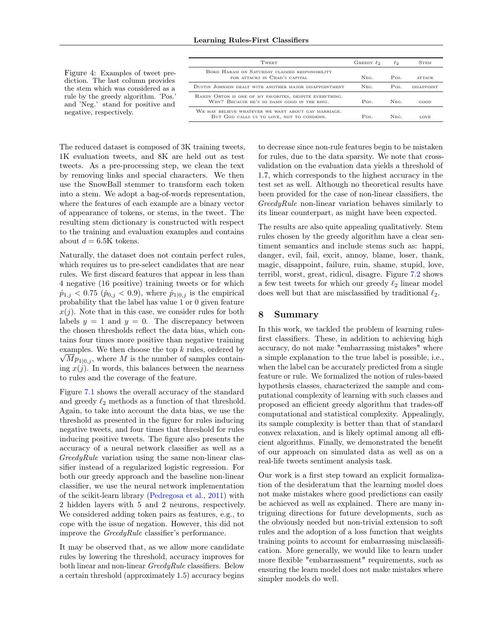Figure 4: Examples of tweet prediction. The last column provides the stem which was considered as a rule by the greedy algorithm. 'Pos.' and 'Neg.' stand for positive and negative, respectively.

| <b>TWEET</b>                                                                                           | GREEDY $\ell_2$ | $\ell_2$ | <b>STEM</b>       |
|--------------------------------------------------------------------------------------------------------|-----------------|----------|-------------------|
| BOKO HARAM ON SATURDAY CLAIMED RESPONSIBILITY<br>FOR ATTACKS IN CHAD'S CAPITAL                         | N EC.           | Pos.     | <b>ATTACK</b>     |
| DUSTIN JOHNSON DEALT WITH ANOTHER MAJOR DISAPPOINTMENT                                                 | Nec.            | Pos.     | <b>DISAPPOINT</b> |
| RANDY ORTON IS ONE OF MY FAVORITES, DESPITE EVERYTHING.<br>WHY? BECAUSE HE'S SO DAMN GOOD IN THE RING. | Pos.            | NEG.     | GOOD              |
| WE MAY BELIEVE WHATEVER WE WANT ABOUT GAY MARRIAGE.<br>BUT GOD CALLS US TO LOVE, NOT TO CONDEMN.       | Pos.            | N EC.    | LOVE.             |
|                                                                                                        |                 |          |                   |

The reduced dataset is composed of 3K training tweets, 1K evaluation tweets, and 8K are held out as test tweets. As a pre-processing step, we clean the text by removing links and special characters. We then use the SnowBall stemmer to transform each token into a stem. We adopt a bag-of-words representation, where the features of each example are a binary vector of appearance of tokens, or stems, in the tweet. The resulting stem dictionary is constructed with respect to the training and evaluation examples and contains about  $d = 6.5K$  tokens.

Naturally, the dataset does not contain perfect rules, which requires us to pre-select candidates that are near rules. We first discard features that appear in less than 4 negative (16 positive) training tweets or for which  $\hat{p}_{1,j} < 0.75$  ( $\hat{p}_{0,j} < 0.9$ ), where  $\hat{p}_{1,0,j}$  is the empirical probability that the label has value 1 or 0 given feature  $x(j)$ . Note that in this case, we consider rules for both labels  $y = 1$  and  $y = 0$ . The discrepancy between the chosen thresholds reflect the data bias, which contains four times more positive than negative training examples. We then choose the top  $k$  rules, ordered by  $\sqrt{Mp_{1}}_{0,i}$ , where M is the number of samples containing  $x(j)$ . In words, this balances between the nearness to rules and the coverage of the feature.

Figure [7.1](#page-6-0) shows the overall accuracy of the standard and greedy  $\ell_2$  methods as a function of that threshold. Again, to take into account the data bias, we use the threshold as presented in the figure for rules inducing negative tweets, and four times that threshold for rules inducing positive tweets. The figure also presents the accuracy of a neural network classifier as well as a  $GreedyRule$  variation using the same non-linear classifier instead of a regularized logistic regression. For both our greedy approach and the baseline non-linear classifier, we use the neural network implementation of the scikit-learn library [\(Pedregosa et al.,](#page-8-23) [2011\)](#page-8-23) with 2 hidden layers with 5 and 2 neurons, respectively. We considered adding token pairs as features, e.g., to cope with the issue of negation. However, this did not improve the GreedyRule classifier's performance.

It may be observed that, as we allow more candidate rules by lowering the threshold, accuracy improves for both linear and non-linear GreedyRule classifiers. Below a certain threshold (approximately 1.5) accuracy begins

to decrease since non-rule features begin to be mistaken for rules, due to the data sparsity. We note that crossvalidation on the evaluation data yields a threshold of 1.7, which corresponds to the highest accuracy in the test set as well. Although no theoretical results have been provided for the case of non-linear classifiers, the GreedyRule non-linear variation behaves similarly to its linear counterpart, as might have been expected.

The results are also quite appealing qualitatively. Stem rules chosen by the greedy algorithm have a clear sentiment semantics and include stems such as: happi, danger, evil, fail, excit, annoy, blame, loser, thank, magic, disappoint, failure, ruin, shame, stupid, love, terribl, worst, great, ridicul, disagre. Figure [7.2](#page-6-1) shows a few test tweets for which our greedy  $\ell_2$  linear model does well but that are misclassified by traditional  $\ell_2$ .

### 8 Summary

In this work, we tackled the problem of learning rulesfirst classifiers. These, in addition to achieving high accuracy, do not make "embarrassing mistakes" where a simple explanation to the true label is possible, i.e., when the label can be accurately predicted from a single feature or rule. We formalized the notion of rules-based hypothesis classes, characterized the sample and computational complexity of learning with such classes and proposed an efficient greedy algorithm that trades-off computational and statistical complexity. Appealingly, its sample complexity is better than that of standard convex relaxation, and is likely optimal among all efficient algorithms. Finally, we demonstrated the benefit of our approach on simulated data as well as on a real-life tweets sentiment analysis task.

Our work is a first step toward an explicit formalization of the desideratum that the learning model does not make mistakes where good predictions can easily be achieved as well as explained. There are many intriguing directions for future developments, such as the obviously needed but non-trivial extension to soft rules and the adoption of a loss function that weights training points to account for embarrassing misclassification. More generally, we would like to learn under more flexible "embarrassment" requirements, such as ensuring the learn model does not make mistakes where simpler models do well.